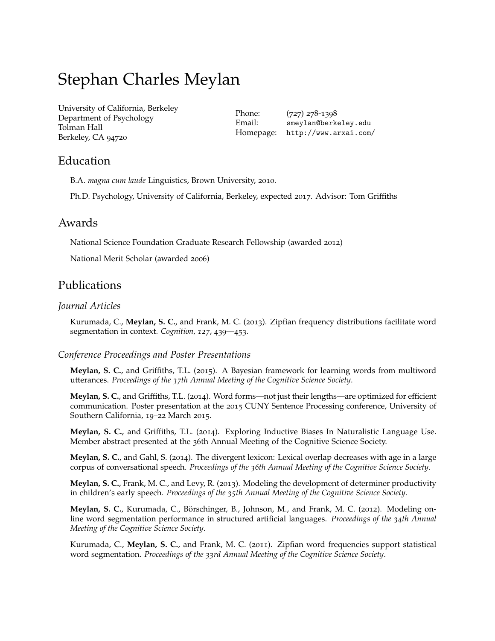# Stephan Charles Meylan

[University of California, Berkeley](http://berkeley.edu/) Department of Psychology Tolman Hall Berkeley, CA 94720

Phone: (727) 278-1398 Email: [smeylan@berkeley.edu](mailto:smeylan@berkeley.edu) Homepage: [http://www.arxai.com/](http://www.arxai.com///)

## Education

B.A. *magna cum laude* Linguistics, Brown University, 2010.

Ph.D. Psychology, University of California, Berkeley, expected 2017. Advisor: Tom Griffiths

### Awards

National Science Foundation Graduate Research Fellowship (awarded 2012)

National Merit Scholar (awarded 2006)

## Publications

#### *Journal Articles*

Kurumada, C., **Meylan, S. C.**, and Frank, M. C. (2013). Zipfian frequency distributions facilitate word segmentation in context. *Cognition, 127*, 439—453.

#### *Conference Proceedings and Poster Presentations*

**Meylan, S. C.**, and Griffiths, T.L. (2015). A Bayesian framework for learning words from multiword utterances. *Proceedings of the 37th Annual Meeting of the Cognitive Science Society*.

**Meylan, S. C.**, and Griffiths, T.L. (2014). Word forms—not just their lengths—are optimized for efficient communication. Poster presentation at the 2015 CUNY Sentence Processing conference, University of Southern California, 19–22 March 2015.

**Meylan, S. C.**, and Griffiths, T.L. (2014). Exploring Inductive Biases In Naturalistic Language Use. Member abstract presented at the 36th Annual Meeting of the Cognitive Science Society.

**Meylan, S. C.**, and Gahl, S. (2014). The divergent lexicon: Lexical overlap decreases with age in a large corpus of conversational speech. *Proceedings of the 36th Annual Meeting of the Cognitive Science Society*.

**Meylan, S. C.**, Frank, M. C., and Levy, R. (2013). Modeling the development of determiner productivity in children's early speech. *Proceedings of the 35th Annual Meeting of the Cognitive Science Society*.

**Meylan, S. C.**, Kurumada, C., Börschinger, B., Johnson, M., and Frank, M. C. (2012). Modeling online word segmentation performance in structured artificial languages. *Proceedings of the 34th Annual Meeting of the Cognitive Science Society*.

Kurumada, C., **Meylan, S. C.**, and Frank, M. C. (2011). Zipfian word frequencies support statistical word segmentation. *Proceedings of the 33rd Annual Meeting of the Cognitive Science Society*.